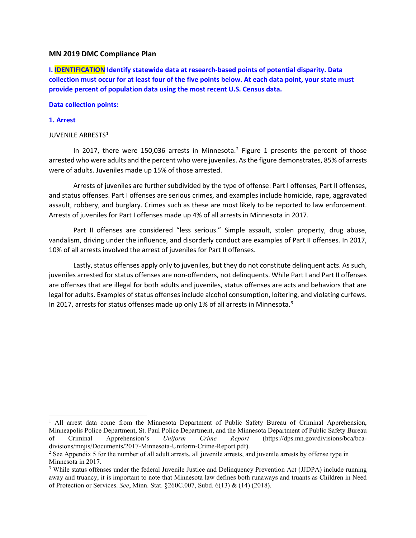## **MN 2019 DMC Compliance Plan**

**I. IDENTIFICATION Identify statewide data at research-based points of potential disparity. Data collection must occur for at least four of the five points below. At each data point, your state must provide percent of population data using the most recent U.S. Census data.** 

### **Data collection points:**

## **1. Arrest**

## JUVENILE ARRESTS<sup>[1](#page-0-0)</sup>

In [2](#page-0-1)017, there were 150,036 arrests in Minnesota.<sup>2</sup> Figure 1 presents the percent of those arrested who were adults and the percent who were juveniles. As the figure demonstrates, 85% of arrests were of adults. Juveniles made up 15% of those arrested.

Arrests of juveniles are further subdivided by the type of offense: Part I offenses, Part II offenses, and status offenses. Part I offenses are serious crimes, and examples include homicide, rape, aggravated assault, robbery, and burglary. Crimes such as these are most likely to be reported to law enforcement. Arrests of juveniles for Part I offenses made up 4% of all arrests in Minnesota in 2017.

Part II offenses are considered "less serious." Simple assault, stolen property, drug abuse, vandalism, driving under the influence, and disorderly conduct are examples of Part II offenses. In 2017, 10% of all arrests involved the arrest of juveniles for Part II offenses.

Lastly, status offenses apply only to juveniles, but they do not constitute delinquent acts. As such, juveniles arrested for status offenses are non-offenders, not delinquents. While Part I and Part II offenses are offenses that are illegal for both adults and juveniles, status offenses are acts and behaviors that are legal for adults. Examples of status offenses include alcohol consumption, loitering, and violating curfews. In 2017, arrests for status offenses made up only 1% of all arrests in Minnesota.<sup>[3](#page-0-2)</sup>

<span id="page-0-0"></span>l <sup>1</sup> All arrest data come from the Minnesota Department of Public Safety Bureau of Criminal Apprehension, Minneapolis Police Department, St. Paul Police Department, and the Minnesota Department of Public Safety Bureau<br>of Criminal Apprehension's *Uniform Crime Report* (https://dps.mn.gov/divisions/bca/bcaof Criminal Apprehension's *Uniform Crime Report* (https://dps.mn.gov/divisions/bca/bcadivisions/mnjis/Documents/2017-Minnesota-Uniform-Crime-Report.pdf).

<span id="page-0-1"></span><sup>2</sup> See Appendix 5 for the number of all adult arrests, all juvenile arrests, and juvenile arrests by offense type in Minnesota in 2017.

<span id="page-0-2"></span><sup>&</sup>lt;sup>3</sup> While status offenses under the federal Juvenile Justice and Delinquency Prevention Act (JJDPA) include running away and truancy, it is important to note that Minnesota law defines both runaways and truants as Children in Need of Protection or Services. *See*, Minn. Stat. §260C.007, Subd. 6(13) & (14) (2018).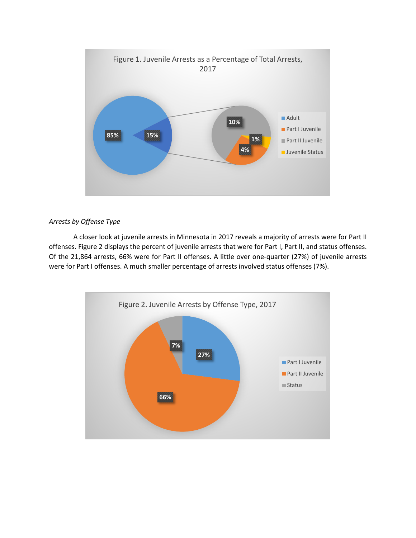

## *Arrests by Offense Type*

A closer look at juvenile arrests in Minnesota in 2017 reveals a majority of arrests were for Part II offenses. Figure 2 displays the percent of juvenile arrests that were for Part I, Part II, and status offenses. Of the 21,864 arrests, 66% were for Part II offenses. A little over one-quarter (27%) of juvenile arrests were for Part I offenses. A much smaller percentage of arrests involved status offenses (7%).

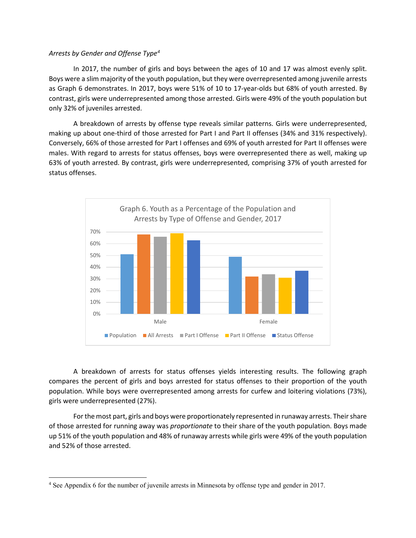## *Arrests by Gender and Offense Type[4](#page-2-0)*

In 2017, the number of girls and boys between the ages of 10 and 17 was almost evenly split. Boys were a slim majority of the youth population, but they were overrepresented among juvenile arrests as Graph 6 demonstrates. In 2017, boys were 51% of 10 to 17-year-olds but 68% of youth arrested. By contrast, girls were underrepresented among those arrested. Girls were 49% of the youth population but only 32% of juveniles arrested.

A breakdown of arrests by offense type reveals similar patterns. Girls were underrepresented, making up about one-third of those arrested for Part I and Part II offenses (34% and 31% respectively). Conversely, 66% of those arrested for Part I offenses and 69% of youth arrested for Part II offenses were males. With regard to arrests for status offenses, boys were overrepresented there as well, making up 63% of youth arrested. By contrast, girls were underrepresented, comprising 37% of youth arrested for status offenses.



A breakdown of arrests for status offenses yields interesting results. The following graph compares the percent of girls and boys arrested for status offenses to their proportion of the youth population. While boys were overrepresented among arrests for curfew and loitering violations (73%), girls were underrepresented (27%).

For the most part, girls and boys were proportionately represented in runaway arrests. Their share of those arrested for running away was *proportionate* to their share of the youth population. Boys made up 51% of the youth population and 48% of runaway arrests while girls were 49% of the youth population and 52% of those arrested.

l

<span id="page-2-0"></span><sup>4</sup> See Appendix 6 for the number of juvenile arrests in Minnesota by offense type and gender in 2017.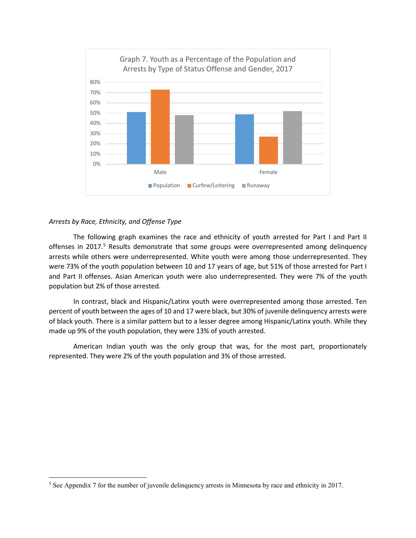

## *Arrests by Race, Ethnicity, and Offense Type*

l

The following graph examines the race and ethnicity of youth arrested for Part I and Part II offenses in 2017.<sup>[5](#page-3-0)</sup> Results demonstrate that some groups were overrepresented among delinquency arrests while others were underrepresented. White youth were among those underrepresented. They were 73% of the youth population between 10 and 17 years of age, but 51% of those arrested for Part I and Part II offenses. Asian American youth were also underrepresented. They were 7% of the youth population but 2% of those arrested.

In contrast, black and Hispanic/Latinx youth were overrepresented among those arrested. Ten percent of youth between the ages of 10 and 17 were black, but 30% of juvenile delinquency arrests were of black youth. There is a similar pattern but to a lesser degree among Hispanic/Latinx youth. While they made up 9% of the youth population, they were 13% of youth arrested.

American Indian youth was the only group that was, for the most part, proportionately represented. They were 2% of the youth population and 3% of those arrested.

<span id="page-3-0"></span><sup>5</sup> See Appendix 7 for the number of juvenile delinquency arrests in Minnesota by race and ethnicity in 2017.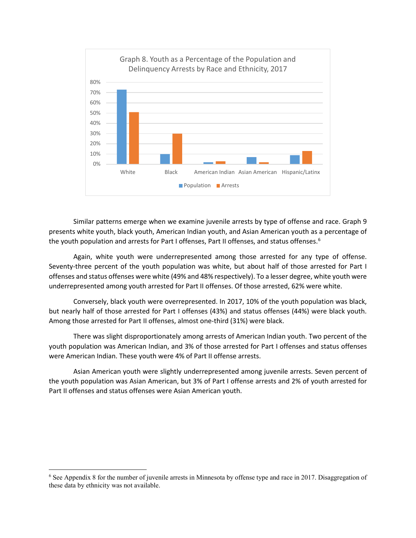

Similar patterns emerge when we examine juvenile arrests by type of offense and race. Graph 9 presents white youth, black youth, American Indian youth, and Asian American youth as a percentage of the youth population and arrests for Part I offenses, Part II offenses, and status offenses.<sup>[6](#page-4-0)</sup>

Again, white youth were underrepresented among those arrested for any type of offense. Seventy-three percent of the youth population was white, but about half of those arrested for Part I offenses and status offenses were white (49% and 48% respectively). To a lesser degree, white youth were underrepresented among youth arrested for Part II offenses. Of those arrested, 62% were white.

Conversely, black youth were overrepresented. In 2017, 10% of the youth population was black, but nearly half of those arrested for Part I offenses (43%) and status offenses (44%) were black youth. Among those arrested for Part II offenses, almost one-third (31%) were black.

There was slight disproportionately among arrests of American Indian youth. Two percent of the youth population was American Indian, and 3% of those arrested for Part I offenses and status offenses were American Indian. These youth were 4% of Part II offense arrests.

Asian American youth were slightly underrepresented among juvenile arrests. Seven percent of the youth population was Asian American, but 3% of Part I offense arrests and 2% of youth arrested for Part II offenses and status offenses were Asian American youth.

l

<span id="page-4-0"></span><sup>6</sup> See Appendix 8 for the number of juvenile arrests in Minnesota by offense type and race in 2017. Disaggregation of these data by ethnicity was not available.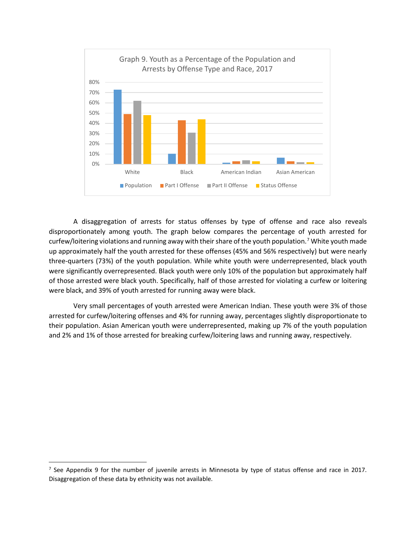

A disaggregation of arrests for status offenses by type of offense and race also reveals disproportionately among youth. The graph below compares the percentage of youth arrested for curfew/loitering violations and running away with their share of the youth population.[7](#page-5-0) White youth made up approximately half the youth arrested for these offenses (45% and 56% respectively) but were nearly three-quarters (73%) of the youth population. While white youth were underrepresented, black youth were significantly overrepresented. Black youth were only 10% of the population but approximately half of those arrested were black youth. Specifically, half of those arrested for violating a curfew or loitering were black, and 39% of youth arrested for running away were black.

Very small percentages of youth arrested were American Indian. These youth were 3% of those arrested for curfew/loitering offenses and 4% for running away, percentages slightly disproportionate to their population. Asian American youth were underrepresented, making up 7% of the youth population and 2% and 1% of those arrested for breaking curfew/loitering laws and running away, respectively.

<span id="page-5-0"></span><sup>&</sup>lt;sup>7</sup> See Appendix 9 for the number of juvenile arrests in Minnesota by type of status offense and race in 2017. Disaggregation of these data by ethnicity was not available.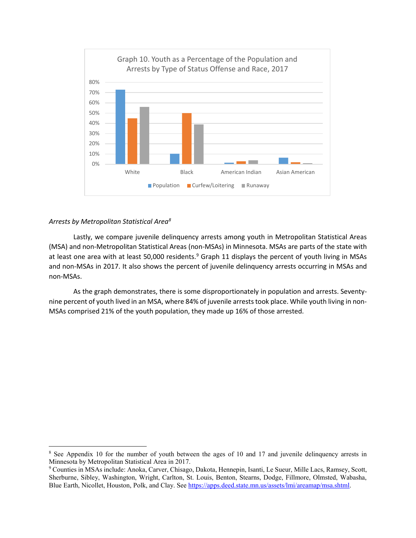

#### *Arrests by Metropolitan Statistical Are[a8](#page-6-0)*

 $\overline{\phantom{a}}$ 

Lastly, we compare juvenile delinquency arrests among youth in Metropolitan Statistical Areas (MSA) and non-Metropolitan Statistical Areas (non-MSAs) in Minnesota. MSAs are parts of the state with at least one area with at least 50,000 residents.<sup>[9](#page-6-1)</sup> Graph 11 displays the percent of youth living in MSAs and non-MSAs in 2017. It also shows the percent of juvenile delinquency arrests occurring in MSAs and non-MSAs.

As the graph demonstrates, there is some disproportionately in population and arrests. Seventynine percent of youth lived in an MSA, where 84% of juvenile arrests took place. While youth living in non-MSAs comprised 21% of the youth population, they made up 16% of those arrested.

<span id="page-6-0"></span><sup>&</sup>lt;sup>8</sup> See Appendix 10 for the number of youth between the ages of 10 and 17 and juvenile delinquency arrests in Minnesota by Metropolitan Statistical Area in 2017.

<span id="page-6-1"></span><sup>9</sup> Counties in MSAs include: Anoka, Carver, Chisago, Dakota, Hennepin, Isanti, Le Sueur, Mille Lacs, Ramsey, Scott, Sherburne, Sibley, Washington, Wright, Carlton, St. Louis, Benton, Stearns, Dodge, Fillmore, Olmsted, Wabasha, Blue Earth, Nicollet, Houston, Polk, and Clay. See [https://apps.deed.state.mn.us/assets/lmi/areamap/msa.shtml.](https://apps.deed.state.mn.us/assets/lmi/areamap/msa.shtml)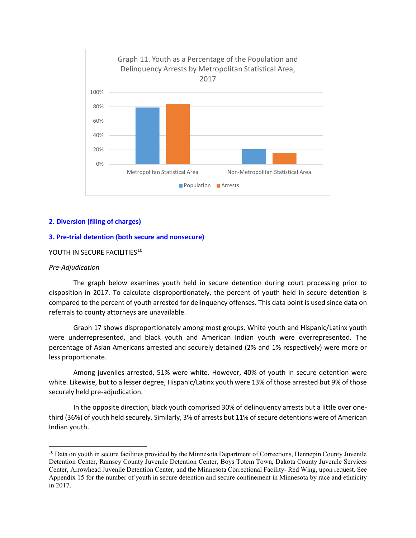

## **2. Diversion (filing of charges)**

## **3. Pre-trial detention (both secure and nonsecure)**

#### YOUTH IN SECURE FACILITIES<sup>[10](#page-7-0)</sup>

#### *Pre-Adjudication*

 $\overline{\phantom{a}}$ 

The graph below examines youth held in secure detention during court processing prior to disposition in 2017. To calculate disproportionately, the percent of youth held in secure detention is compared to the percent of youth arrested for delinquency offenses. This data point is used since data on referrals to county attorneys are unavailable.

Graph 17 shows disproportionately among most groups. White youth and Hispanic/Latinx youth were underrepresented, and black youth and American Indian youth were overrepresented. The percentage of Asian Americans arrested and securely detained (2% and 1% respectively) were more or less proportionate.

Among juveniles arrested, 51% were white. However, 40% of youth in secure detention were white. Likewise, but to a lesser degree, Hispanic/Latinx youth were 13% of those arrested but 9% of those securely held pre-adjudication.

In the opposite direction, black youth comprised 30% of delinquency arrests but a little over onethird (36%) of youth held securely. Similarly, 3% of arrests but 11% of secure detentions were of American Indian youth.

<span id="page-7-0"></span><sup>&</sup>lt;sup>10</sup> Data on youth in secure facilities provided by the Minnesota Department of Corrections, Hennepin County Juvenile Detention Center, Ramsey County Juvenile Detention Center, Boys Totem Town, Dakota County Juvenile Services Center, Arrowhead Juvenile Detention Center, and the Minnesota Correctional Facility- Red Wing, upon request. See Appendix 15 for the number of youth in secure detention and secure confinement in Minnesota by race and ethnicity in 2017.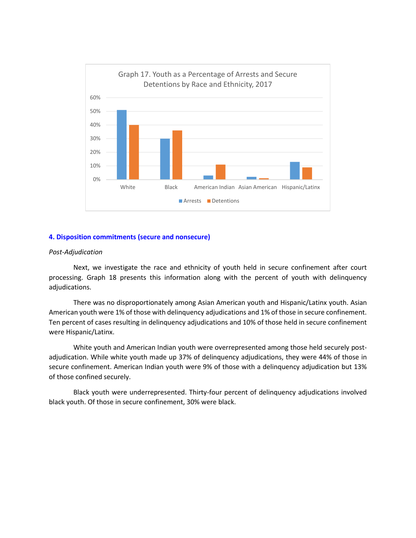

## **4. Disposition commitments (secure and nonsecure)**

#### *Post-Adjudication*

Next, we investigate the race and ethnicity of youth held in secure confinement after court processing. Graph 18 presents this information along with the percent of youth with delinquency adjudications.

There was no disproportionately among Asian American youth and Hispanic/Latinx youth. Asian American youth were 1% of those with delinquency adjudications and 1% of those in secure confinement. Ten percent of cases resulting in delinquency adjudications and 10% of those held in secure confinement were Hispanic/Latinx.

White youth and American Indian youth were overrepresented among those held securely postadjudication. While white youth made up 37% of delinquency adjudications, they were 44% of those in secure confinement. American Indian youth were 9% of those with a delinquency adjudication but 13% of those confined securely.

Black youth were underrepresented. Thirty-four percent of delinquency adjudications involved black youth. Of those in secure confinement, 30% were black.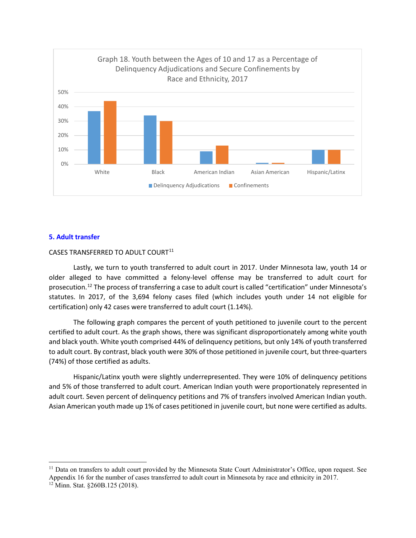

#### **5. Adult transfer**

## CASES TRANSFERRED TO ADULT COURT<sup>[11](#page-9-0)</sup>

Lastly, we turn to youth transferred to adult court in 2017. Under Minnesota law, youth 14 or older alleged to have committed a felony-level offense may be transferred to adult court for prosecution.<sup>[12](#page-9-1)</sup> The process of transferring a case to adult court is called "certification" under Minnesota's statutes. In 2017, of the 3,694 felony cases filed (which includes youth under 14 not eligible for certification) only 42 cases were transferred to adult court (1.14%).

The following graph compares the percent of youth petitioned to juvenile court to the percent certified to adult court. As the graph shows, there was significant disproportionately among white youth and black youth. White youth comprised 44% of delinquency petitions, but only 14% of youth transferred to adult court. By contrast, black youth were 30% of those petitioned in juvenile court, but three-quarters (74%) of those certified as adults.

Hispanic/Latinx youth were slightly underrepresented. They were 10% of delinquency petitions and 5% of those transferred to adult court. American Indian youth were proportionately represented in adult court. Seven percent of delinquency petitions and 7% of transfers involved American Indian youth. Asian American youth made up 1% of cases petitioned in juvenile court, but none were certified as adults.

l

<span id="page-9-0"></span><sup>&</sup>lt;sup>11</sup> Data on transfers to adult court provided by the Minnesota State Court Administrator's Office, upon request. See Appendix 16 for the number of cases transferred to adult court in Minnesota by race and ethnicity in 2017.

<span id="page-9-1"></span><sup>12</sup> Minn. Stat. §260B.125 (2018).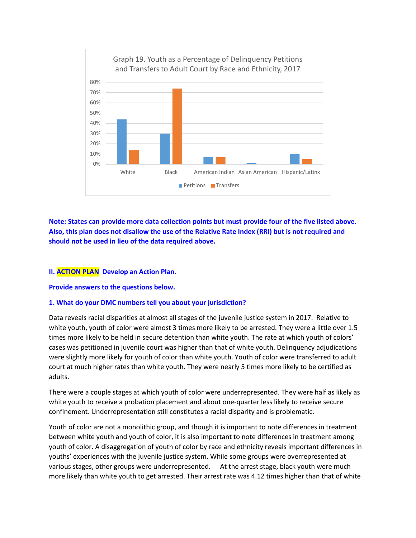

**Note: States can provide more data collection points but must provide four of the five listed above. Also, this plan does not disallow the use of the Relative Rate Index (RRI) but is not required and should not be used in lieu of the data required above.** 

### **II. ACTION PLAN Develop an Action Plan.**

#### **Provide answers to the questions below.**

## **1. What do your DMC numbers tell you about your jurisdiction?**

Data reveals racial disparities at almost all stages of the juvenile justice system in 2017. Relative to white youth, youth of color were almost 3 times more likely to be arrested. They were a little over 1.5 times more likely to be held in secure detention than white youth. The rate at which youth of colors' cases was petitioned in juvenile court was higher than that of white youth. Delinquency adjudications were slightly more likely for youth of color than white youth. Youth of color were transferred to adult court at much higher rates than white youth. They were nearly 5 times more likely to be certified as adults.

There were a couple stages at which youth of color were underrepresented. They were half as likely as white youth to receive a probation placement and about one-quarter less likely to receive secure confinement. Underrepresentation still constitutes a racial disparity and is problematic.

Youth of color are not a monolithic group, and though it is important to note differences in treatment between white youth and youth of color, it is also important to note differences in treatment among youth of color. A disaggregation of youth of color by race and ethnicity reveals important differences in youths' experiences with the juvenile justice system. While some groups were overrepresented at various stages, other groups were underrepresented. At the arrest stage, black youth were much more likely than white youth to get arrested. Their arrest rate was 4.12 times higher than that of white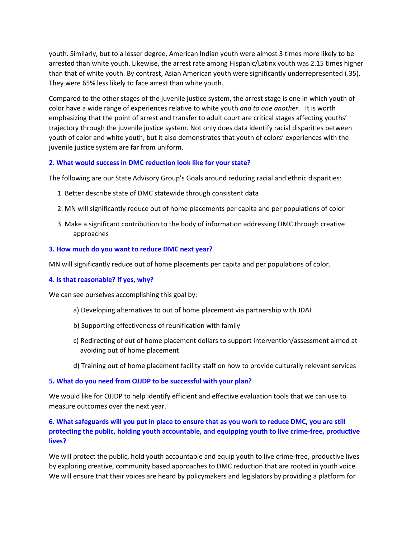youth. Similarly, but to a lesser degree, American Indian youth were almost 3 times more likely to be arrested than white youth. Likewise, the arrest rate among Hispanic/Latinx youth was 2.15 times higher than that of white youth. By contrast, Asian American youth were significantly underrepresented (.35). They were 65% less likely to face arrest than white youth.

Compared to the other stages of the juvenile justice system, the arrest stage is one in which youth of color have a wide range of experiences relative to white youth *and to one another*. It is worth emphasizing that the point of arrest and transfer to adult court are critical stages affecting youths' trajectory through the juvenile justice system. Not only does data identify racial disparities between youth of color and white youth, but it also demonstrates that youth of colors' experiences with the juvenile justice system are far from uniform.

## **2. What would success in DMC reduction look like for your state?**

The following are our State Advisory Group's Goals around reducing racial and ethnic disparities:

- 1. Better describe state of DMC statewide through consistent data
- 2. MN will significantly reduce out of home placements per capita and per populations of color
- 3. Make a significant contribution to the body of information addressing DMC through creative approaches

## **3. How much do you want to reduce DMC next year?**

MN will significantly reduce out of home placements per capita and per populations of color.

## **4. Is that reasonable? If yes, why?**

We can see ourselves accomplishing this goal by:

- a) Developing alternatives to out of home placement via partnership with JDAI
- b) Supporting effectiveness of reunification with family
- c) Redirecting of out of home placement dollars to support intervention/assessment aimed at avoiding out of home placement
- d) Training out of home placement facility staff on how to provide culturally relevant services

#### **5. What do you need from OJJDP to be successful with your plan?**

We would like for OJJDP to help identify efficient and effective evaluation tools that we can use to measure outcomes over the next year.

# **6. What safeguards will you put in place to ensure that as you work to reduce DMC, you are still protecting the public, holding youth accountable, and equipping youth to live crime-free, productive lives?**

We will protect the public, hold youth accountable and equip youth to live crime-free, productive lives by exploring creative, community based approaches to DMC reduction that are rooted in youth voice. We will ensure that their voices are heard by policymakers and legislators by providing a platform for